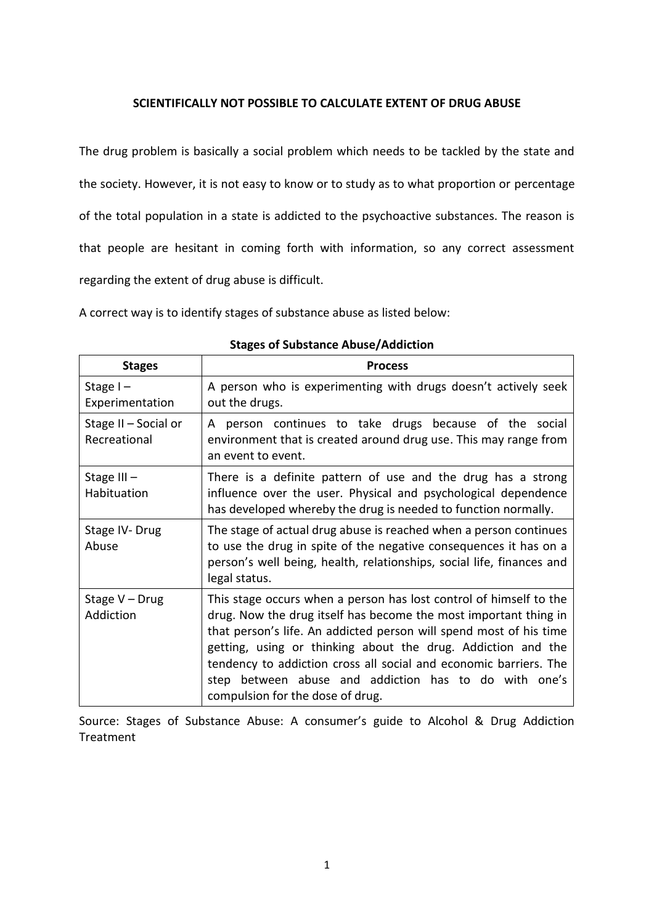# **SCIENTIFICALLY NOT POSSIBLE TO CALCULATE EXTENT OF DRUG ABUSE**

The drug problem is basically a social problem which needs to be tackled by the state and the society. However, it is not easy to know or to study as to what proportion or percentage of the total population in a state is addicted to the psychoactive substances. The reason is that people are hesitant in coming forth with information, so any correct assessment regarding the extent of drug abuse is difficult.

A correct way is to identify stages of substance abuse as listed below:

| <b>Stages</b>                        | <b>Process</b>                                                                                                                                                                                                                                                                                                                                                                                                                                 |
|--------------------------------------|------------------------------------------------------------------------------------------------------------------------------------------------------------------------------------------------------------------------------------------------------------------------------------------------------------------------------------------------------------------------------------------------------------------------------------------------|
| Stage $I -$<br>Experimentation       | A person who is experimenting with drugs doesn't actively seek<br>out the drugs.                                                                                                                                                                                                                                                                                                                                                               |
| Stage II - Social or<br>Recreational | A person continues to take drugs because of the social<br>environment that is created around drug use. This may range from<br>an event to event.                                                                                                                                                                                                                                                                                               |
| Stage III-<br>Habituation            | There is a definite pattern of use and the drug has a strong<br>influence over the user. Physical and psychological dependence<br>has developed whereby the drug is needed to function normally.                                                                                                                                                                                                                                               |
| Stage IV-Drug<br>Abuse               | The stage of actual drug abuse is reached when a person continues<br>to use the drug in spite of the negative consequences it has on a<br>person's well being, health, relationships, social life, finances and<br>legal status.                                                                                                                                                                                                               |
| Stage V - Drug<br>Addiction          | This stage occurs when a person has lost control of himself to the<br>drug. Now the drug itself has become the most important thing in<br>that person's life. An addicted person will spend most of his time<br>getting, using or thinking about the drug. Addiction and the<br>tendency to addiction cross all social and economic barriers. The<br>step between abuse and addiction has to do with one's<br>compulsion for the dose of drug. |

# **Stages of Substance Abuse/Addiction**

Source: Stages of Substance Abuse: A consumer's guide to Alcohol & Drug Addiction Treatment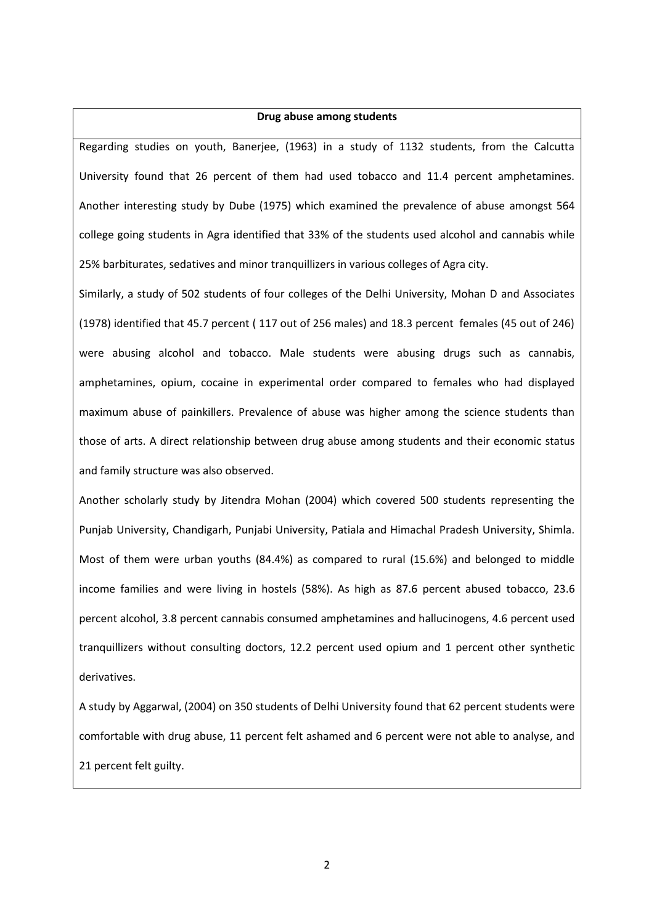### **Drug abuse among students**

Regarding studies on youth, Banerjee, (1963) in a study of 1132 students, from the Calcutta University found that 26 percent of them had used tobacco and 11.4 percent amphetamines. Another interesting study by Dube (1975) which examined the prevalence of abuse amongst 564 college going students in Agra identified that 33% of the students used alcohol and cannabis while 25% barbiturates, sedatives and minor tranquillizers in various colleges of Agra city.

Similarly, a study of 502 students of four colleges of the Delhi University, Mohan D and Associates (1978) identified that 45.7 percent ( 117 out of 256 males) and 18.3 percent females (45 out of 246) were abusing alcohol and tobacco. Male students were abusing drugs such as cannabis, amphetamines, opium, cocaine in experimental order compared to females who had displayed maximum abuse of painkillers. Prevalence of abuse was higher among the science students than those of arts. A direct relationship between drug abuse among students and their economic status and family structure was also observed.

Another scholarly study by Jitendra Mohan (2004) which covered 500 students representing the Punjab University, Chandigarh, Punjabi University, Patiala and Himachal Pradesh University, Shimla. Most of them were urban youths (84.4%) as compared to rural (15.6%) and belonged to middle income families and were living in hostels (58%). As high as 87.6 percent abused tobacco, 23.6 percent alcohol, 3.8 percent cannabis consumed amphetamines and hallucinogens, 4.6 percent used tranquillizers without consulting doctors, 12.2 percent used opium and 1 percent other synthetic derivatives.

A study by Aggarwal, (2004) on 350 students of Delhi University found that 62 percent students were comfortable with drug abuse, 11 percent felt ashamed and 6 percent were not able to analyse, and 21 percent felt guilty.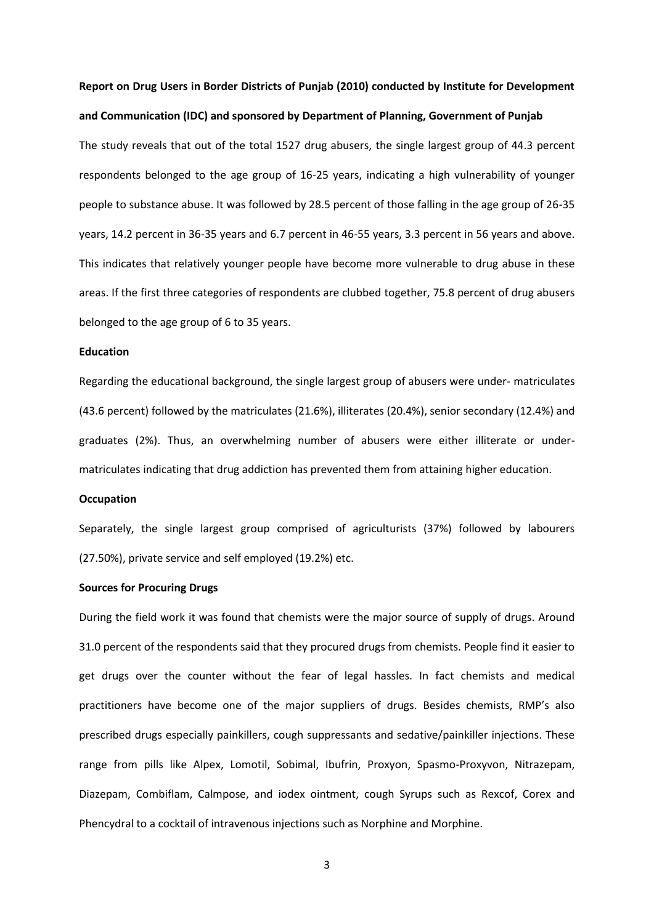**Report on Drug Users in Border Districts of Punjab (2010) conducted by Institute for Development and Communication (IDC) and sponsored by Department of Planning, Government of Punjab**

The study reveals that out of the total 1527 drug abusers, the single largest group of 44.3 percent respondents belonged to the age group of 16-25 years, indicating a high vulnerability of younger people to substance abuse. It was followed by 28.5 percent of those falling in the age group of 26-35 years, 14.2 percent in 36-35 years and 6.7 percent in 46-55 years, 3.3 percent in 56 years and above. This indicates that relatively younger people have become more vulnerable to drug abuse in these areas. If the first three categories of respondents are clubbed together, 75.8 percent of drug abusers belonged to the age group of 6 to 35 years.

### **Education**

Regarding the educational background, the single largest group of abusers were under- matriculates (43.6 percent) followed by the matriculates (21.6%), illiterates (20.4%), senior secondary (12.4%) and graduates (2%). Thus, an overwhelming number of abusers were either illiterate or undermatriculates indicating that drug addiction has prevented them from attaining higher education.

### **Occupation**

Separately, the single largest group comprised of agriculturists (37%) followed by labourers (27.50%), private service and self employed (19.2%) etc.

### **Sources for Procuring Drugs**

During the field work it was found that chemists were the major source of supply of drugs. Around 31.0 percent of the respondents said that they procured drugs from chemists. People find it easier to get drugs over the counter without the fear of legal hassles. In fact chemists and medical practitioners have become one of the major suppliers of drugs. Besides chemists, RMP's also prescribed drugs especially painkillers, cough suppressants and sedative/painkiller injections. These range from pills like Alpex, Lomotil, Sobimal, Ibufrin, Proxyon, Spasmo-Proxyvon, Nitrazepam, Diazepam, Combiflam, Calmpose, and iodex ointment, cough Syrups such as Rexcof, Corex and Phencydral to a cocktail of intravenous injections such as Norphine and Morphine.

3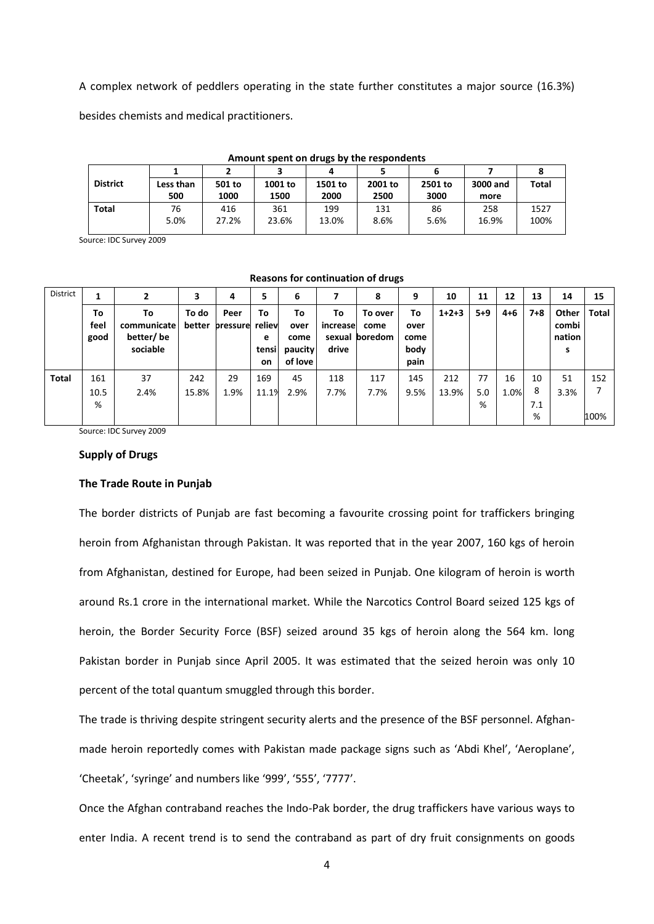A complex network of peddlers operating in the state further constitutes a major source (16.3%)

besides chemists and medical practitioners.

| Amount spent on drugs by the respondents |           |        |         |         |         |         |          |              |  |  |  |  |
|------------------------------------------|-----------|--------|---------|---------|---------|---------|----------|--------------|--|--|--|--|
|                                          |           |        |         |         |         |         |          |              |  |  |  |  |
| <b>District</b>                          | Less than | 501 to | 1001 to | 1501 to | 2001 to | 2501 to | 3000 and | <b>Total</b> |  |  |  |  |
|                                          | 500       | 1000   | 1500    | 2000    | 2500    | 3000    | more     |              |  |  |  |  |
| <b>Total</b>                             | 76        | 416    | 361     | 199     | 131     | 86      | 258      | 1527         |  |  |  |  |
|                                          | 5.0%      | 27.2%  | 23.6%   | 13.0%   | 8.6%    | 5.6%    | 16.9%    | 100%         |  |  |  |  |
|                                          |           |        |         |         |         |         |          |              |  |  |  |  |

### **Amount spent on drugs by the respondents**

Source: IDC Survey 2009

| <b>District</b> |                    |                                            | 3               | 4                       | 5                      | 6                                        |                         | 8                                 | 9                                  | 10      | 11      | 12      | 13      | 14                            | 15    |
|-----------------|--------------------|--------------------------------------------|-----------------|-------------------------|------------------------|------------------------------------------|-------------------------|-----------------------------------|------------------------------------|---------|---------|---------|---------|-------------------------------|-------|
|                 | To<br>feel<br>good | To<br>communicate<br>better/be<br>sociable | To do<br>better | Peer<br>pressure reliev | To<br>e<br>tensi<br>on | To<br>over<br>come<br>paucity<br>of love | To<br>increase<br>drive | To over<br>come<br>sexual boredom | To<br>over<br>come<br>body<br>pain | $1+2+3$ | $5 + 9$ | $4 + 6$ | $7 + 8$ | Other<br>combi<br>nation<br>s | Total |
| <b>Total</b>    | 161                | 37                                         | 242             | 29                      | 169                    | 45                                       | 118                     | 117                               | 145                                | 212     | 77      | 16      | 10      | 51                            | 152   |
|                 | 10.5               | 2.4%                                       | 15.8%           | 1.9%                    | 11.1%                  | 2.9%                                     | 7.7%                    | 7.7%                              | 9.5%                               | 13.9%   | 5.0     | 1.0%    | 8       | 3.3%                          |       |
|                 | %                  |                                            |                 |                         |                        |                                          |                         |                                   |                                    |         | %       |         | 7.1     |                               |       |
|                 |                    |                                            |                 |                         |                        |                                          |                         |                                   |                                    |         |         |         | %       |                               | 100%  |

#### **Reasons for continuation of drugs**

Source: IDC Survey 2009

#### **Supply of Drugs**

### **The Trade Route in Punjab**

The border districts of Punjab are fast becoming a favourite crossing point for traffickers bringing heroin from Afghanistan through Pakistan. It was reported that in the year 2007, 160 kgs of heroin from Afghanistan, destined for Europe, had been seized in Punjab. One kilogram of heroin is worth around Rs.1 crore in the international market. While the Narcotics Control Board seized 125 kgs of heroin, the Border Security Force (BSF) seized around 35 kgs of heroin along the 564 km. long Pakistan border in Punjab since April 2005. It was estimated that the seized heroin was only 10 percent of the total quantum smuggled through this border.

The trade is thriving despite stringent security alerts and the presence of the BSF personnel. Afghanmade heroin reportedly comes with Pakistan made package signs such as 'Abdi Khel', 'Aeroplane', 'Cheetak', 'syringe' and numbers like '999', '555', '7777'.

Once the Afghan contraband reaches the Indo-Pak border, the drug traffickers have various ways to enter India. A recent trend is to send the contraband as part of dry fruit consignments on goods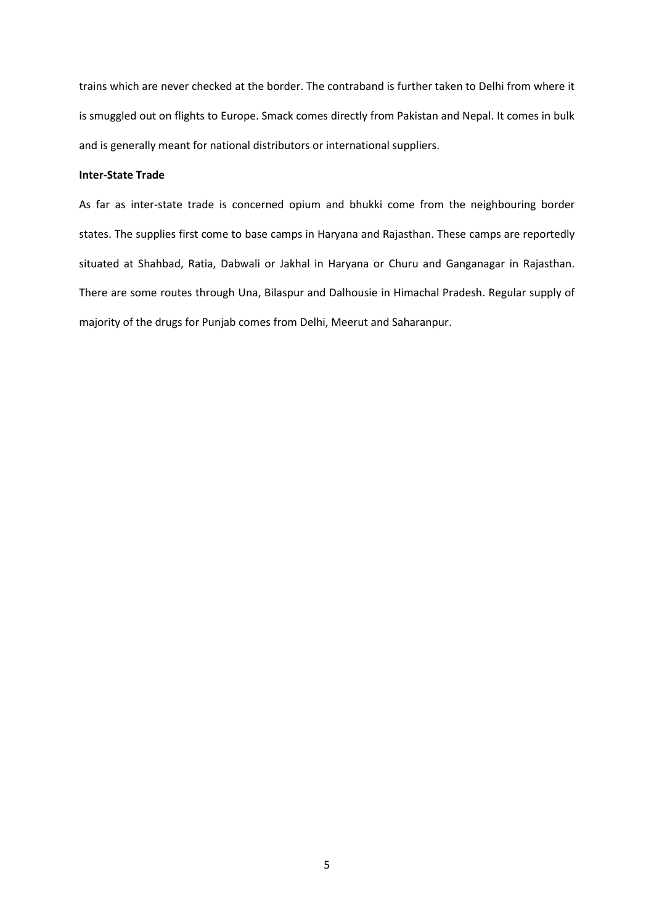trains which are never checked at the border. The contraband is further taken to Delhi from where it is smuggled out on flights to Europe. Smack comes directly from Pakistan and Nepal. It comes in bulk and is generally meant for national distributors or international suppliers.

# **Inter-State Trade**

As far as inter-state trade is concerned opium and bhukki come from the neighbouring border states. The supplies first come to base camps in Haryana and Rajasthan. These camps are reportedly situated at Shahbad, Ratia, Dabwali or Jakhal in Haryana or Churu and Ganganagar in Rajasthan. There are some routes through Una, Bilaspur and Dalhousie in Himachal Pradesh. Regular supply of majority of the drugs for Punjab comes from Delhi, Meerut and Saharanpur.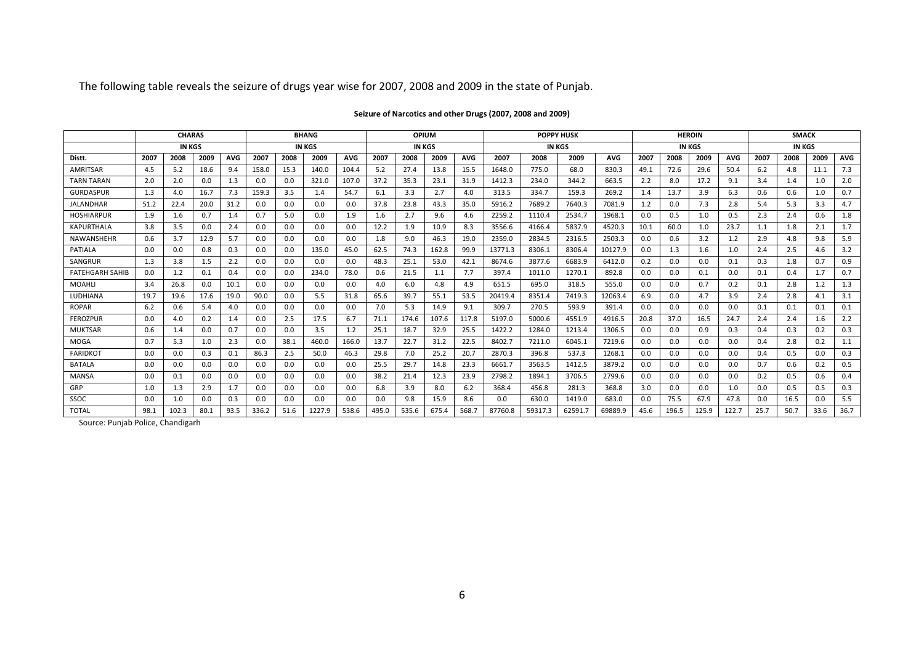The following table reveals the seizure of drugs year wise for 2007, 2008 and 2009 in the state of Punjab.

|                        | <b>CHARAS</b> |               |      | <b>BHANG</b> |       |      | OPIUM         |            |       | <b>POPPY HUSK</b> |       |            | <b>HEROIN</b> |         |         |            | <b>SMACK</b>  |       |       |            |               |      |      |            |  |
|------------------------|---------------|---------------|------|--------------|-------|------|---------------|------------|-------|-------------------|-------|------------|---------------|---------|---------|------------|---------------|-------|-------|------------|---------------|------|------|------------|--|
|                        |               | <b>IN KGS</b> |      |              |       |      | <b>IN KGS</b> |            |       | <b>IN KGS</b>     |       |            |               |         | IN KGS  |            | <b>IN KGS</b> |       |       |            | <b>IN KGS</b> |      |      |            |  |
| Distt.                 | 2007          | 2008          | 2009 | <b>AVG</b>   | 2007  | 2008 | 2009          | <b>AVG</b> | 2007  | 2008              | 2009  | <b>AVG</b> | 2007          | 2008    | 2009    | <b>AVG</b> | 2007          | 2008  | 2009  | <b>AVG</b> | 2007          | 2008 | 2009 | <b>AVG</b> |  |
| <b>AMRITSAR</b>        | 4.5           | 5.2           | 18.6 | 9.4          | 158.0 | 15.3 | 140.0         | 104.4      | 5.2   | 27.4              | 13.8  | 15.5       | 1648.0        | 775.0   | 68.0    | 830.3      | 49.1          | 72.6  | 29.6  | 50.4       | 6.2           | 4.8  | 11.1 | 7.3        |  |
| <b>TARN TARAN</b>      | 2.0           | 2.0           | 0.0  | 1.3          | 0.0   | 0.0  | 321.0         | 107.0      | 37.2  | 35.3              | 23.1  | 31.9       | 1412.3        | 234.0   | 344.2   | 663.5      | 2.2           | 8.0   | 17.2  | 9.1        | 3.4           | 1.4  | 1.0  | 2.0        |  |
| <b>GURDASPUR</b>       | 1.3           | 4.0           | 16.7 | 7.3          | 159.3 | 3.5  | 1.4           | 54.7       | 6.1   | 3.3               | 2.7   | 4.0        | 313.5         | 334.7   | 159.3   | 269.2      | 1.4           | 13.7  | 3.9   | 6.3        | 0.6           | 0.6  | 1.0  | 0.7        |  |
| <b>JALANDHAR</b>       | 51.2          | 22.4          | 20.0 | 31.2         | 0.0   | 0.0  | 0.0           | 0.0        | 37.8  | 23.8              | 43.3  | 35.0       | 5916.2        | 7689.2  | 7640.3  | 7081.9     | 1.2           | 0.0   | 7.3   | 2.8        | 5.4           | 5.3  | 3.3  | 4.7        |  |
| <b>HOSHIARPUR</b>      | 1.9           | 1.6           | 0.7  | 1.4          | 0.7   | 5.0  | 0.0           | 1.9        | 1.6   | 2.7               | 9.6   | 4.6        | 2259.2        | 1110.4  | 2534.7  | 1968.1     | 0.0           | 0.5   | 1.0   | 0.5        | 2.3           | 2.4  | 0.6  | 1.8        |  |
| <b>KAPURTHALA</b>      | 3.8           | 3.5           | 0.0  | 2.4          | 0.0   | 0.0  | 0.0           | 0.0        | 12.2  | 1.9               | 10.9  | 8.3        | 3556.6        | 4166.4  | 5837.9  | 4520.3     | 10.1          | 60.0  | 1.0   | 23.7       | 1.1           | 1.8  | 2.1  | 1.7        |  |
| <b>NAWANSHEHR</b>      | 0.6           | 3.7           | 12.9 | 5.7          | 0.0   | 0.0  | 0.0           | 0.0        | 1.8   | 9.0               | 46.3  | 19.0       | 2359.0        | 2834.5  | 2316.5  | 2503.3     | 0.0           | 0.6   | 3.2   | 1.2        | 2.9           | 4.8  | 9.8  | 5.9        |  |
| <b>PATIALA</b>         | 0.0           | 0.0           | 0.8  | 0.3          | 0.0   | 0.0  | 135.0         | 45.0       | 62.5  | 74.3              | 162.8 | 99.9       | 13771.3       | 8306.1  | 8306.4  | 10127.9    | 0.0           | 1.3   | 1.6   | 1.0        | 2.4           | 2.5  | 4.6  | 3.2        |  |
| SANGRUR                | 1.3           | 3.8           | 1.5  | 2.2          | 0.0   | 0.0  | 0.0           | 0.0        | 48.3  | 25.1              | 53.0  | 42.1       | 8674.6        | 3877.6  | 6683.9  | 6412.0     | 0.2           | 0.0   | 0.0   | 0.1        | 0.3           | 1.8  | 0.7  | 0.9        |  |
| <b>FATEHGARH SAHIB</b> | 0.0           | 1.2           | 0.1  | 0.4          | 0.0   | 0.0  | 234.0         | 78.0       | 0.6   | 21.5              | 1.1   | 7.7        | 397.4         | 1011.0  | 1270.1  | 892.8      | 0.0           | 0.0   | 0.1   | 0.0        | 0.1           | 0.4  | 1.7  | 0.7        |  |
| <b>MOAHLI</b>          | 3.4           | 26.8          | 0.0  | 10.1         | 0.0   | 0.0  | 0.0           | 0.0        | 4.0   | 6.0               | 4.8   | 4.9        | 651.5         | 695.0   | 318.5   | 555.0      | 0.0           | 0.0   | 0.7   | 0.2        | 0.1           | 2.8  | 1.2  | 1.3        |  |
| LUDHIANA               | 19.7          | 19.6          | 17.6 | 19.0         | 90.0  | 0.0  | 5.5           | 31.8       | 65.6  | 39.7              | 55.1  | 53.5       | 20419.4       | 8351.4  | 7419.3  | 12063.4    | 6.9           | 0.0   | 4.7   | 3.9        | 2.4           | 2.8  | 4.1  | 3.1        |  |
| <b>ROPAR</b>           | 6.2           | 0.6           | 5.4  | 4.0          | 0.0   | 0.0  | 0.0           | 0.0        | 7.0   | 5.3               | 14.9  | 9.1        | 309.7         | 270.5   | 593.9   | 391.4      | 0.0           | 0.0   | 0.0   | 0.0        | 0.1           | 0.1  | 0.1  | 0.1        |  |
| <b>FEROZPUR</b>        | 0.0           | 4.0           | 0.2  | 1.4          | 0.0   | 2.5  | 17.5          | 6.7        | 71.1  | 174.6             | 107.6 | 117.8      | 5197.0        | 5000.6  | 4551.9  | 4916.5     | 20.8          | 37.0  | 16.5  | 24.7       | 2.4           | 2.4  | 1.6  | 2.2        |  |
| <b>MUKTSAR</b>         | 0.6           | 1.4           | 0.0  | 0.7          | 0.0   | 0.0  | 3.5           | 1.2        | 25.1  | 18.7              | 32.9  | 25.5       | 1422.2        | 1284.0  | 1213.4  | 1306.5     | 0.0           | 0.0   | 0.9   | 0.3        | 0.4           | 0.3  | 0.2  | 0.3        |  |
| <b>MOGA</b>            | 0.7           | 5.3           | 1.0  | 2.3          | 0.0   | 38.1 | 460.0         | 166.0      | 13.7  | 22.7              | 31.2  | 22.5       | 8402.7        | 7211.0  | 6045.1  | 7219.6     | 0.0           | 0.0   | 0.0   | 0.0        | 0.4           | 2.8  | 0.2  | 1.1        |  |
| <b>FARIDKOT</b>        | 0.0           | 0.0           | 0.3  | 0.1          | 86.3  | 2.5  | 50.0          | 46.3       | 29.8  | 7.0               | 25.2  | 20.7       | 2870.3        | 396.8   | 537.3   | 1268.1     | 0.0           | 0.0   | 0.0   | 0.0        | 0.4           | 0.5  | 0.0  | 0.3        |  |
| <b>BATALA</b>          | 0.0           | 0.0           | 0.0  | 0.0          | 0.0   | 0.0  | 0.0           | 0.0        | 25.5  | 29.7              | 14.8  | 23.3       | 6661.7        | 3563.5  | 1412.5  | 3879.2     | 0.0           | 0.0   | 0.0   | 0.0        | 0.7           | 0.6  | 0.2  | 0.5        |  |
| <b>MANSA</b>           | 0.0           | 0.1           | 0.0  | 0.0          | 0.0   | 0.0  | 0.0           | 0.0        | 38.2  | 21.4              | 12.3  | 23.9       | 2798.2        | 1894.1  | 3706.5  | 2799.6     | 0.0           | 0.0   | 0.0   | 0.0        | 0.2           | 0.5  | 0.6  | 0.4        |  |
| GRP                    | 1.0           | 1.3           | 2.9  | 1.7          | 0.0   | 0.0  | 0.0           | 0.0        | 6.8   | 3.9               | 8.0   | 6.2        | 368.4         | 456.8   | 281.3   | 368.8      | 3.0           | 0.0   | 0.0   | 1.0        | 0.0           | 0.5  | 0.5  | 0.3        |  |
| SSOC                   | 0.0           | 1.0           | 0.0  | 0.3          | 0.0   | 0.0  | 0.0           | 0.0        | 0.0   | 9.8               | 15.9  | 8.6        | 0.0           | 630.0   | 1419.0  | 683.0      | 0.0           | 75.5  | 67.9  | 47.8       | 0.0           | 16.5 | 0.0  | 5.5        |  |
| <b>TOTAL</b>           | 98.1          | 102.3         | 80.1 | 93.5         | 336.2 | 51.6 | 1227.9        | 538.6      | 495.0 | 535.6             | 675.4 | 568.7      | 87760.8       | 59317.3 | 62591.7 | 69889.9    | 45.6          | 196.5 | 125.9 | 122.7      | 25.7          | 50.7 | 33.6 | 36.7       |  |

### **Seizure of Narcotics and other Drugs (2007, 2008 and 2009)**

Source: Punjab Police, Chandigarh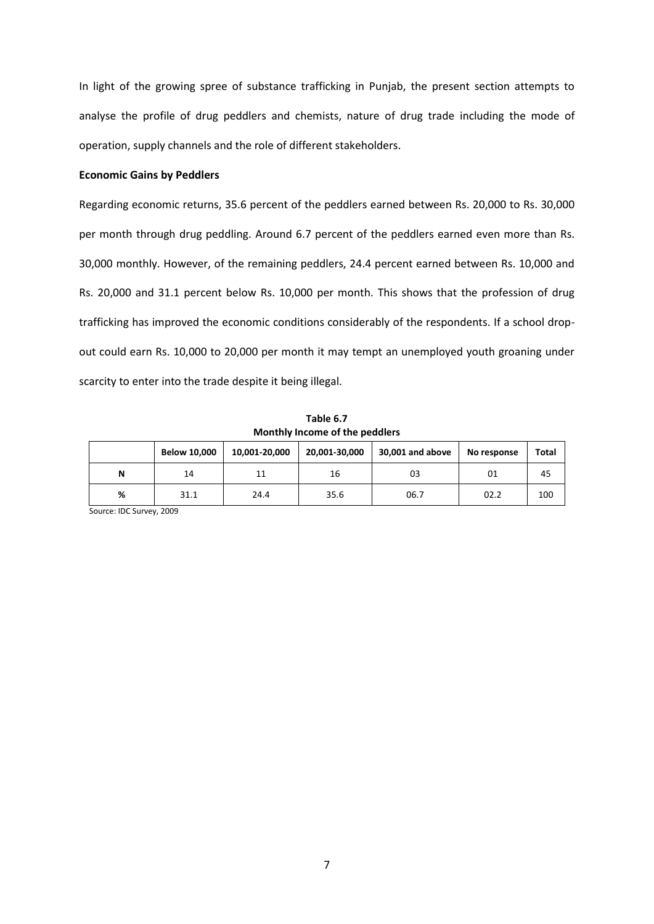In light of the growing spree of substance trafficking in Punjab, the present section attempts to analyse the profile of drug peddlers and chemists, nature of drug trade including the mode of operation, supply channels and the role of different stakeholders.

### **Economic Gains by Peddlers**

Regarding economic returns, 35.6 percent of the peddlers earned between Rs. 20,000 to Rs. 30,000 per month through drug peddling. Around 6.7 percent of the peddlers earned even more than Rs. 30,000 monthly. However, of the remaining peddlers, 24.4 percent earned between Rs. 10,000 and Rs. 20,000 and 31.1 percent below Rs. 10,000 per month. This shows that the profession of drug trafficking has improved the economic conditions considerably of the respondents. If a school dropout could earn Rs. 10,000 to 20,000 per month it may tempt an unemployed youth groaning under scarcity to enter into the trade despite it being illegal.

| <b>NONTAINATION</b> INCOME OF the peddiers |                     |               |               |                  |             |       |  |  |  |  |  |  |  |
|--------------------------------------------|---------------------|---------------|---------------|------------------|-------------|-------|--|--|--|--|--|--|--|
|                                            | <b>Below 10,000</b> | 10,001-20,000 | 20.001-30.000 | 30,001 and above | No response | Total |  |  |  |  |  |  |  |
| N                                          | 14                  | 11            | 16            | 03               | 01          | 45    |  |  |  |  |  |  |  |
| %                                          | 31.1                | 24.4          | 35.6          | 06.7             | 02.2        | 100   |  |  |  |  |  |  |  |

**Table 6.7 Monthly Income of the peddlers**

Source: IDC Survey, 2009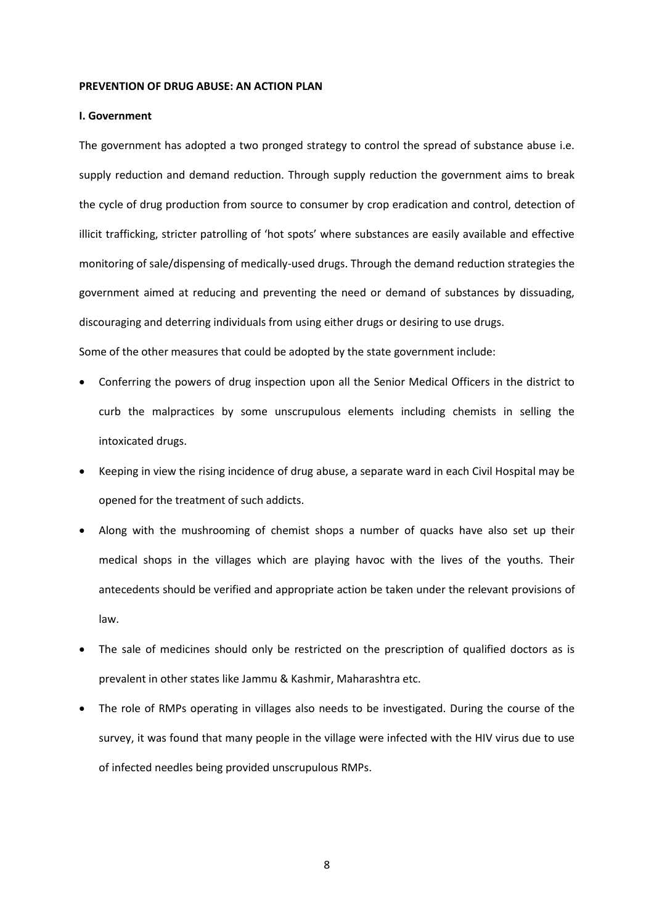### **PREVENTION OF DRUG ABUSE: AN ACTION PLAN**

### **I. Government**

The government has adopted a two pronged strategy to control the spread of substance abuse i.e. supply reduction and demand reduction. Through supply reduction the government aims to break the cycle of drug production from source to consumer by crop eradication and control, detection of illicit trafficking, stricter patrolling of 'hot spots' where substances are easily available and effective monitoring of sale/dispensing of medically-used drugs. Through the demand reduction strategies the government aimed at reducing and preventing the need or demand of substances by dissuading, discouraging and deterring individuals from using either drugs or desiring to use drugs. Some of the other measures that could be adopted by the state government include:

- Conferring the powers of drug inspection upon all the Senior Medical Officers in the district to curb the malpractices by some unscrupulous elements including chemists in selling the intoxicated drugs.
- Keeping in view the rising incidence of drug abuse, a separate ward in each Civil Hospital may be opened for the treatment of such addicts.
- Along with the mushrooming of chemist shops a number of quacks have also set up their medical shops in the villages which are playing havoc with the lives of the youths. Their antecedents should be verified and appropriate action be taken under the relevant provisions of law.
- The sale of medicines should only be restricted on the prescription of qualified doctors as is prevalent in other states like Jammu & Kashmir, Maharashtra etc.
- The role of RMPs operating in villages also needs to be investigated. During the course of the survey, it was found that many people in the village were infected with the HIV virus due to use of infected needles being provided unscrupulous RMPs.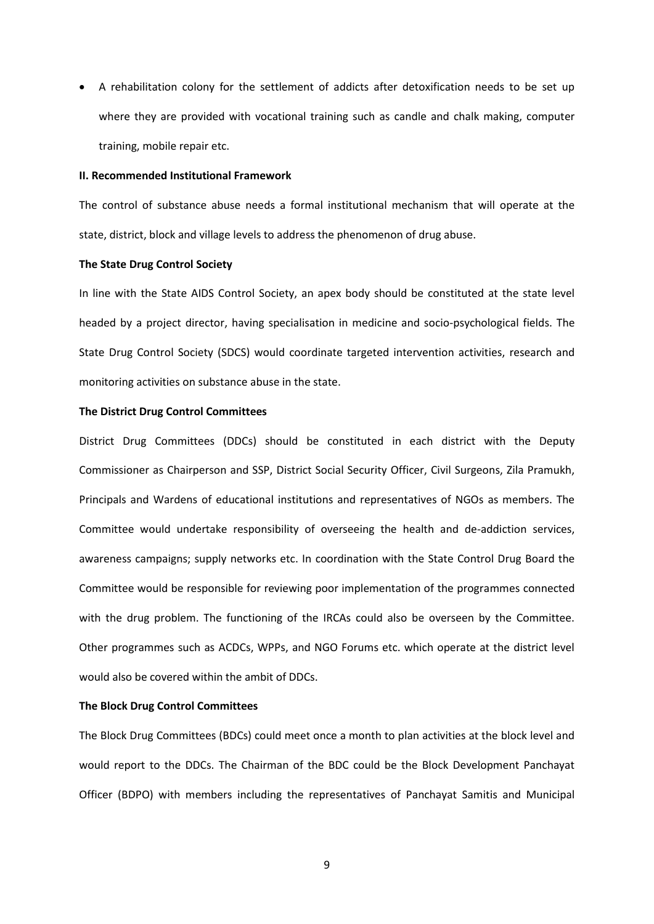• A rehabilitation colony for the settlement of addicts after detoxification needs to be set up where they are provided with vocational training such as candle and chalk making, computer training, mobile repair etc.

### **II. Recommended Institutional Framework**

The control of substance abuse needs a formal institutional mechanism that will operate at the state, district, block and village levels to address the phenomenon of drug abuse.

### **The State Drug Control Society**

In line with the State AIDS Control Society, an apex body should be constituted at the state level headed by a project director, having specialisation in medicine and socio-psychological fields. The State Drug Control Society (SDCS) would coordinate targeted intervention activities, research and monitoring activities on substance abuse in the state.

# **The District Drug Control Committees**

District Drug Committees (DDCs) should be constituted in each district with the Deputy Commissioner as Chairperson and SSP, District Social Security Officer, Civil Surgeons, Zila Pramukh, Principals and Wardens of educational institutions and representatives of NGOs as members. The Committee would undertake responsibility of overseeing the health and de-addiction services, awareness campaigns; supply networks etc. In coordination with the State Control Drug Board the Committee would be responsible for reviewing poor implementation of the programmes connected with the drug problem. The functioning of the IRCAs could also be overseen by the Committee. Other programmes such as ACDCs, WPPs, and NGO Forums etc. which operate at the district level would also be covered within the ambit of DDCs.

### **The Block Drug Control Committees**

The Block Drug Committees (BDCs) could meet once a month to plan activities at the block level and would report to the DDCs. The Chairman of the BDC could be the Block Development Panchayat Officer (BDPO) with members including the representatives of Panchayat Samitis and Municipal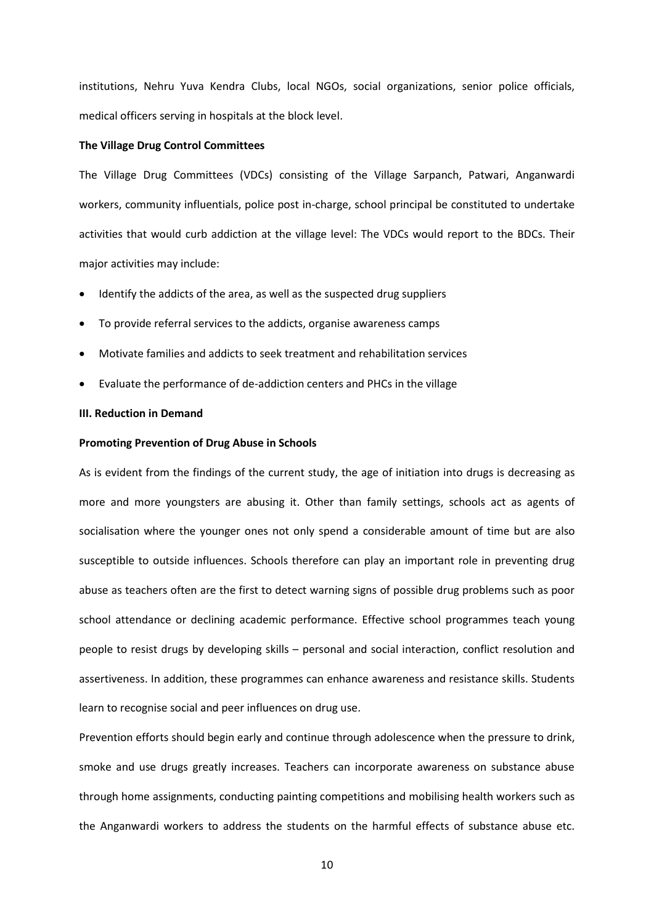institutions, Nehru Yuva Kendra Clubs, local NGOs, social organizations, senior police officials, medical officers serving in hospitals at the block level.

### **The Village Drug Control Committees**

The Village Drug Committees (VDCs) consisting of the Village Sarpanch, Patwari, Anganwardi workers, community influentials, police post in-charge, school principal be constituted to undertake activities that would curb addiction at the village level: The VDCs would report to the BDCs. Their major activities may include:

- Identify the addicts of the area, as well as the suspected drug suppliers
- To provide referral services to the addicts, organise awareness camps
- Motivate families and addicts to seek treatment and rehabilitation services
- Evaluate the performance of de-addiction centers and PHCs in the village

# **III. Reduction in Demand**

## **Promoting Prevention of Drug Abuse in Schools**

As is evident from the findings of the current study, the age of initiation into drugs is decreasing as more and more youngsters are abusing it. Other than family settings, schools act as agents of socialisation where the younger ones not only spend a considerable amount of time but are also susceptible to outside influences. Schools therefore can play an important role in preventing drug abuse as teachers often are the first to detect warning signs of possible drug problems such as poor school attendance or declining academic performance. Effective school programmes teach young people to resist drugs by developing skills – personal and social interaction, conflict resolution and assertiveness. In addition, these programmes can enhance awareness and resistance skills. Students learn to recognise social and peer influences on drug use.

Prevention efforts should begin early and continue through adolescence when the pressure to drink, smoke and use drugs greatly increases. Teachers can incorporate awareness on substance abuse through home assignments, conducting painting competitions and mobilising health workers such as the Anganwardi workers to address the students on the harmful effects of substance abuse etc.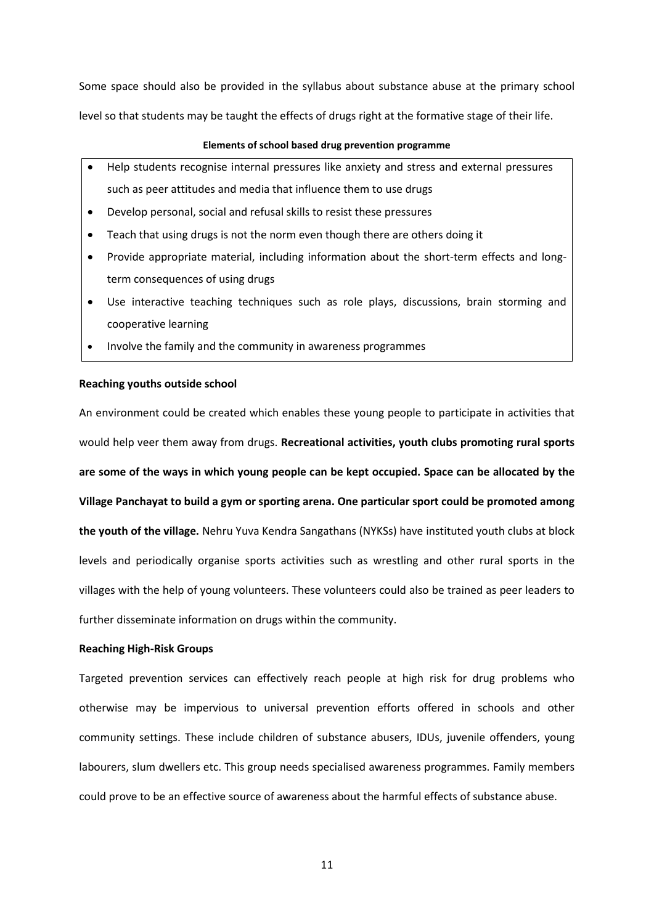Some space should also be provided in the syllabus about substance abuse at the primary school level so that students may be taught the effects of drugs right at the formative stage of their life.

#### **Elements of school based drug prevention programme**

- Help students recognise internal pressures like anxiety and stress and external pressures such as peer attitudes and media that influence them to use drugs
- Develop personal, social and refusal skills to resist these pressures
- Teach that using drugs is not the norm even though there are others doing it
- Provide appropriate material, including information about the short-term effects and longterm consequences of using drugs
- Use interactive teaching techniques such as role plays, discussions, brain storming and cooperative learning
- Involve the family and the community in awareness programmes

### **Reaching youths outside school**

An environment could be created which enables these young people to participate in activities that would help veer them away from drugs. **Recreational activities, youth clubs promoting rural sports are some of the ways in which young people can be kept occupied. Space can be allocated by the Village Panchayat to build a gym or sporting arena. One particular sport could be promoted among the youth of the village.** Nehru Yuva Kendra Sangathans (NYKSs) have instituted youth clubs at block levels and periodically organise sports activities such as wrestling and other rural sports in the villages with the help of young volunteers. These volunteers could also be trained as peer leaders to further disseminate information on drugs within the community.

### **Reaching High-Risk Groups**

Targeted prevention services can effectively reach people at high risk for drug problems who otherwise may be impervious to universal prevention efforts offered in schools and other community settings. These include children of substance abusers, IDUs, juvenile offenders, young labourers, slum dwellers etc. This group needs specialised awareness programmes. Family members could prove to be an effective source of awareness about the harmful effects of substance abuse.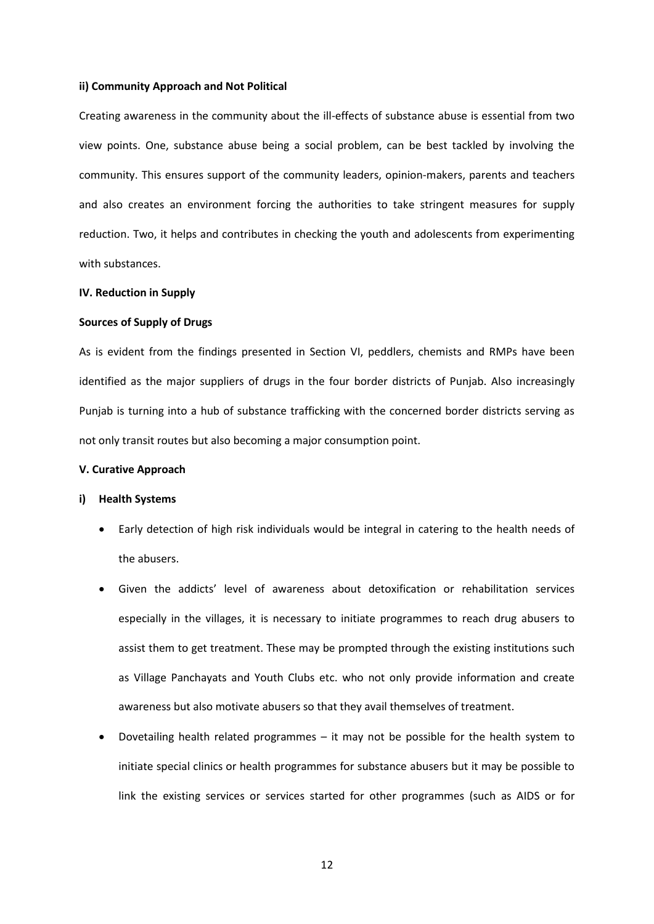### **ii) Community Approach and Not Political**

Creating awareness in the community about the ill-effects of substance abuse is essential from two view points. One, substance abuse being a social problem, can be best tackled by involving the community. This ensures support of the community leaders, opinion-makers, parents and teachers and also creates an environment forcing the authorities to take stringent measures for supply reduction. Two, it helps and contributes in checking the youth and adolescents from experimenting with substances.

### **IV. Reduction in Supply**

### **Sources of Supply of Drugs**

As is evident from the findings presented in Section VI, peddlers, chemists and RMPs have been identified as the major suppliers of drugs in the four border districts of Punjab. Also increasingly Punjab is turning into a hub of substance trafficking with the concerned border districts serving as not only transit routes but also becoming a major consumption point.

#### **V. Curative Approach**

# **i) Health Systems**

- Early detection of high risk individuals would be integral in catering to the health needs of the abusers.
- Given the addicts' level of awareness about detoxification or rehabilitation services especially in the villages, it is necessary to initiate programmes to reach drug abusers to assist them to get treatment. These may be prompted through the existing institutions such as Village Panchayats and Youth Clubs etc. who not only provide information and create awareness but also motivate abusers so that they avail themselves of treatment.
- Dovetailing health related programmes it may not be possible for the health system to initiate special clinics or health programmes for substance abusers but it may be possible to link the existing services or services started for other programmes (such as AIDS or for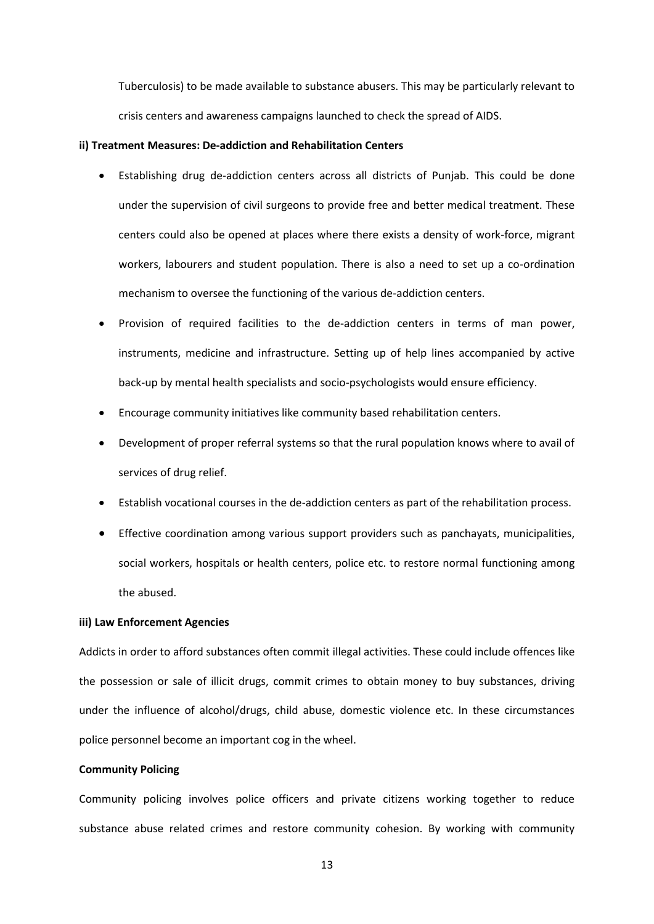Tuberculosis) to be made available to substance abusers. This may be particularly relevant to crisis centers and awareness campaigns launched to check the spread of AIDS.

### **ii) Treatment Measures: De-addiction and Rehabilitation Centers**

- Establishing drug de-addiction centers across all districts of Punjab. This could be done under the supervision of civil surgeons to provide free and better medical treatment. These centers could also be opened at places where there exists a density of work-force, migrant workers, labourers and student population. There is also a need to set up a co-ordination mechanism to oversee the functioning of the various de-addiction centers.
- Provision of required facilities to the de-addiction centers in terms of man power, instruments, medicine and infrastructure. Setting up of help lines accompanied by active back-up by mental health specialists and socio-psychologists would ensure efficiency.
- Encourage community initiatives like community based rehabilitation centers.
- Development of proper referral systems so that the rural population knows where to avail of services of drug relief.
- Establish vocational courses in the de-addiction centers as part of the rehabilitation process.
- Effective coordination among various support providers such as panchayats, municipalities, social workers, hospitals or health centers, police etc. to restore normal functioning among the abused.

### **iii) Law Enforcement Agencies**

Addicts in order to afford substances often commit illegal activities. These could include offences like the possession or sale of illicit drugs, commit crimes to obtain money to buy substances, driving under the influence of alcohol/drugs, child abuse, domestic violence etc. In these circumstances police personnel become an important cog in the wheel.

### **Community Policing**

Community policing involves police officers and private citizens working together to reduce substance abuse related crimes and restore community cohesion. By working with community